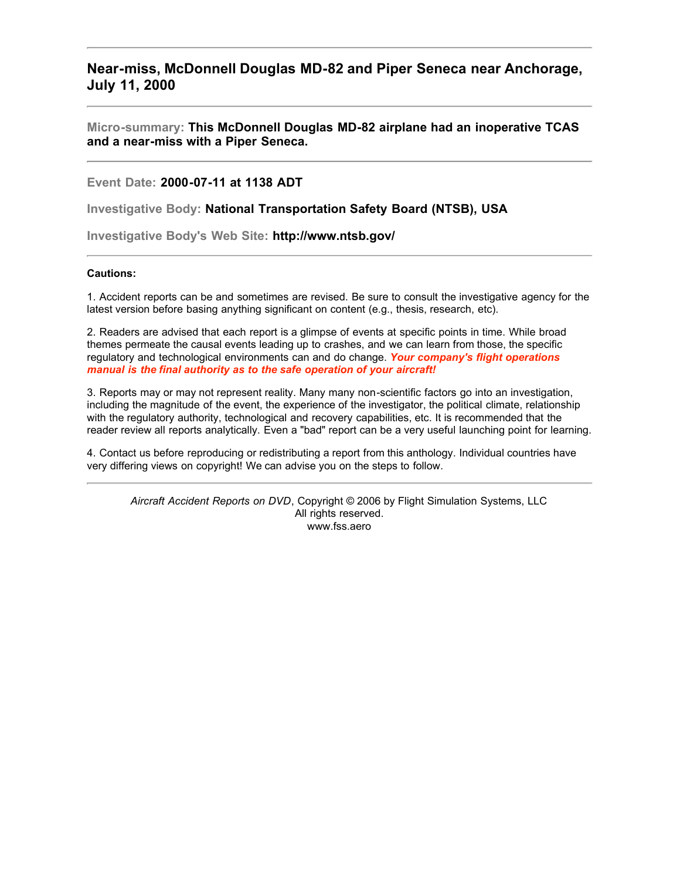## **Near-miss, McDonnell Douglas MD-82 and Piper Seneca near Anchorage, July 11, 2000**

**Micro-summary: This McDonnell Douglas MD-82 airplane had an inoperative TCAS and a near-miss with a Piper Seneca.**

**Event Date: 2000-07-11 at 1138 ADT**

**Investigative Body: National Transportation Safety Board (NTSB), USA**

**Investigative Body's Web Site: http://www.ntsb.gov/**

## **Cautions:**

1. Accident reports can be and sometimes are revised. Be sure to consult the investigative agency for the latest version before basing anything significant on content (e.g., thesis, research, etc).

2. Readers are advised that each report is a glimpse of events at specific points in time. While broad themes permeate the causal events leading up to crashes, and we can learn from those, the specific regulatory and technological environments can and do change. *Your company's flight operations manual is the final authority as to the safe operation of your aircraft!*

3. Reports may or may not represent reality. Many many non-scientific factors go into an investigation, including the magnitude of the event, the experience of the investigator, the political climate, relationship with the regulatory authority, technological and recovery capabilities, etc. It is recommended that the reader review all reports analytically. Even a "bad" report can be a very useful launching point for learning.

4. Contact us before reproducing or redistributing a report from this anthology. Individual countries have very differing views on copyright! We can advise you on the steps to follow.

*Aircraft Accident Reports on DVD*, Copyright © 2006 by Flight Simulation Systems, LLC All rights reserved. www.fss.aero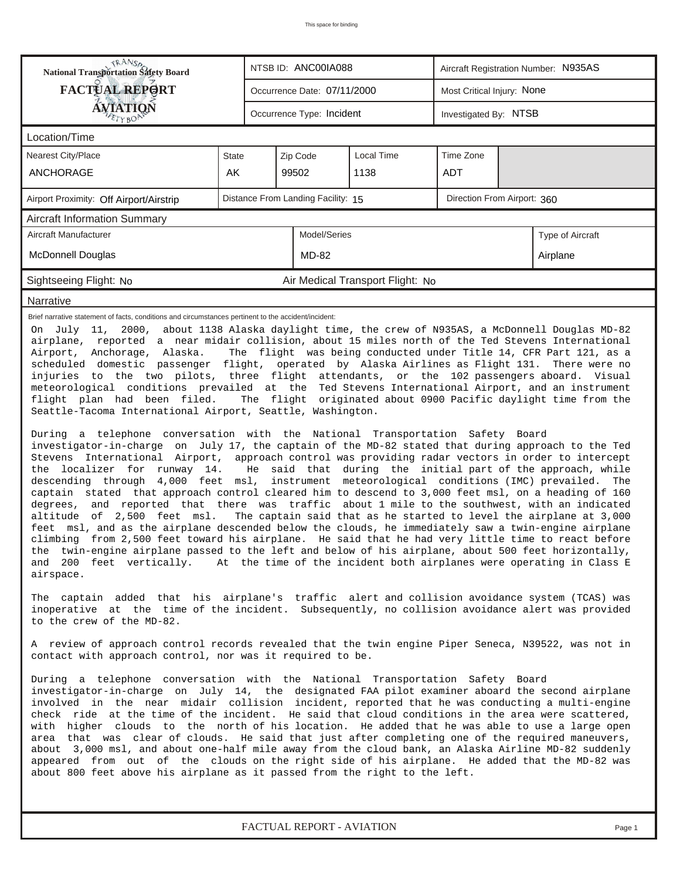| <b>National Transportation Safety Board</b><br><b>FACTUAL REPORT</b><br><b>ÁVIATION</b><br>Location/Time                                                                                                                                                                                                                                                                                                                                                                                                                                                                                                                                                                                                                                                                                                                                                                                                                                                                                                                                                                                                                                                                                                                                                                                                                                                                                                                                                                                                                                                                                                                                                                                                                                                                                                                                                                                                                                                                                                                                                                                                                                                                                                                                                                                                                                                                                                                                                                                                                                                                                                                                                                                                                                                                                                                                                                                                                                                                                                                                                                                                                                 | State<br>AK |                                                                   |                                     |                                                    |  |                                                           |                                                                                                                                                                                                                                                                                  |  |  |  |  |  |  |
|------------------------------------------------------------------------------------------------------------------------------------------------------------------------------------------------------------------------------------------------------------------------------------------------------------------------------------------------------------------------------------------------------------------------------------------------------------------------------------------------------------------------------------------------------------------------------------------------------------------------------------------------------------------------------------------------------------------------------------------------------------------------------------------------------------------------------------------------------------------------------------------------------------------------------------------------------------------------------------------------------------------------------------------------------------------------------------------------------------------------------------------------------------------------------------------------------------------------------------------------------------------------------------------------------------------------------------------------------------------------------------------------------------------------------------------------------------------------------------------------------------------------------------------------------------------------------------------------------------------------------------------------------------------------------------------------------------------------------------------------------------------------------------------------------------------------------------------------------------------------------------------------------------------------------------------------------------------------------------------------------------------------------------------------------------------------------------------------------------------------------------------------------------------------------------------------------------------------------------------------------------------------------------------------------------------------------------------------------------------------------------------------------------------------------------------------------------------------------------------------------------------------------------------------------------------------------------------------------------------------------------------------------------------------------------------------------------------------------------------------------------------------------------------------------------------------------------------------------------------------------------------------------------------------------------------------------------------------------------------------------------------------------------------------------------------------------------------------------------------------------------------|-------------|-------------------------------------------------------------------|-------------------------------------|----------------------------------------------------|--|-----------------------------------------------------------|----------------------------------------------------------------------------------------------------------------------------------------------------------------------------------------------------------------------------------------------------------------------------------|--|--|--|--|--|--|
|                                                                                                                                                                                                                                                                                                                                                                                                                                                                                                                                                                                                                                                                                                                                                                                                                                                                                                                                                                                                                                                                                                                                                                                                                                                                                                                                                                                                                                                                                                                                                                                                                                                                                                                                                                                                                                                                                                                                                                                                                                                                                                                                                                                                                                                                                                                                                                                                                                                                                                                                                                                                                                                                                                                                                                                                                                                                                                                                                                                                                                                                                                                                          |             |                                                                   |                                     |                                                    |  | Most Critical Injury: None<br>Occurrence Date: 07/11/2000 |                                                                                                                                                                                                                                                                                  |  |  |  |  |  |  |
|                                                                                                                                                                                                                                                                                                                                                                                                                                                                                                                                                                                                                                                                                                                                                                                                                                                                                                                                                                                                                                                                                                                                                                                                                                                                                                                                                                                                                                                                                                                                                                                                                                                                                                                                                                                                                                                                                                                                                                                                                                                                                                                                                                                                                                                                                                                                                                                                                                                                                                                                                                                                                                                                                                                                                                                                                                                                                                                                                                                                                                                                                                                                          |             |                                                                   |                                     | Occurrence Type: Incident<br>Investigated By: NTSB |  |                                                           |                                                                                                                                                                                                                                                                                  |  |  |  |  |  |  |
|                                                                                                                                                                                                                                                                                                                                                                                                                                                                                                                                                                                                                                                                                                                                                                                                                                                                                                                                                                                                                                                                                                                                                                                                                                                                                                                                                                                                                                                                                                                                                                                                                                                                                                                                                                                                                                                                                                                                                                                                                                                                                                                                                                                                                                                                                                                                                                                                                                                                                                                                                                                                                                                                                                                                                                                                                                                                                                                                                                                                                                                                                                                                          |             |                                                                   |                                     |                                                    |  |                                                           |                                                                                                                                                                                                                                                                                  |  |  |  |  |  |  |
| Nearest City/Place                                                                                                                                                                                                                                                                                                                                                                                                                                                                                                                                                                                                                                                                                                                                                                                                                                                                                                                                                                                                                                                                                                                                                                                                                                                                                                                                                                                                                                                                                                                                                                                                                                                                                                                                                                                                                                                                                                                                                                                                                                                                                                                                                                                                                                                                                                                                                                                                                                                                                                                                                                                                                                                                                                                                                                                                                                                                                                                                                                                                                                                                                                                       |             |                                                                   | Zip Code<br>Local Time<br>Time Zone |                                                    |  |                                                           |                                                                                                                                                                                                                                                                                  |  |  |  |  |  |  |
| <b>ANCHORAGE</b>                                                                                                                                                                                                                                                                                                                                                                                                                                                                                                                                                                                                                                                                                                                                                                                                                                                                                                                                                                                                                                                                                                                                                                                                                                                                                                                                                                                                                                                                                                                                                                                                                                                                                                                                                                                                                                                                                                                                                                                                                                                                                                                                                                                                                                                                                                                                                                                                                                                                                                                                                                                                                                                                                                                                                                                                                                                                                                                                                                                                                                                                                                                         |             | 99502<br>1138<br><b>ADT</b>                                       |                                     |                                                    |  |                                                           |                                                                                                                                                                                                                                                                                  |  |  |  |  |  |  |
| Airport Proximity: Off Airport/Airstrip                                                                                                                                                                                                                                                                                                                                                                                                                                                                                                                                                                                                                                                                                                                                                                                                                                                                                                                                                                                                                                                                                                                                                                                                                                                                                                                                                                                                                                                                                                                                                                                                                                                                                                                                                                                                                                                                                                                                                                                                                                                                                                                                                                                                                                                                                                                                                                                                                                                                                                                                                                                                                                                                                                                                                                                                                                                                                                                                                                                                                                                                                                  |             | Distance From Landing Facility: 15<br>Direction From Airport: 360 |                                     |                                                    |  |                                                           |                                                                                                                                                                                                                                                                                  |  |  |  |  |  |  |
| <b>Aircraft Information Summary</b>                                                                                                                                                                                                                                                                                                                                                                                                                                                                                                                                                                                                                                                                                                                                                                                                                                                                                                                                                                                                                                                                                                                                                                                                                                                                                                                                                                                                                                                                                                                                                                                                                                                                                                                                                                                                                                                                                                                                                                                                                                                                                                                                                                                                                                                                                                                                                                                                                                                                                                                                                                                                                                                                                                                                                                                                                                                                                                                                                                                                                                                                                                      |             |                                                                   |                                     |                                                    |  |                                                           |                                                                                                                                                                                                                                                                                  |  |  |  |  |  |  |
| Aircraft Manufacturer                                                                                                                                                                                                                                                                                                                                                                                                                                                                                                                                                                                                                                                                                                                                                                                                                                                                                                                                                                                                                                                                                                                                                                                                                                                                                                                                                                                                                                                                                                                                                                                                                                                                                                                                                                                                                                                                                                                                                                                                                                                                                                                                                                                                                                                                                                                                                                                                                                                                                                                                                                                                                                                                                                                                                                                                                                                                                                                                                                                                                                                                                                                    |             |                                                                   | Model/Series                        |                                                    |  |                                                           | Type of Aircraft                                                                                                                                                                                                                                                                 |  |  |  |  |  |  |
| <b>McDonnell Douglas</b>                                                                                                                                                                                                                                                                                                                                                                                                                                                                                                                                                                                                                                                                                                                                                                                                                                                                                                                                                                                                                                                                                                                                                                                                                                                                                                                                                                                                                                                                                                                                                                                                                                                                                                                                                                                                                                                                                                                                                                                                                                                                                                                                                                                                                                                                                                                                                                                                                                                                                                                                                                                                                                                                                                                                                                                                                                                                                                                                                                                                                                                                                                                 |             |                                                                   | MD-82                               |                                                    |  |                                                           | Airplane                                                                                                                                                                                                                                                                         |  |  |  |  |  |  |
| Sightseeing Flight: No                                                                                                                                                                                                                                                                                                                                                                                                                                                                                                                                                                                                                                                                                                                                                                                                                                                                                                                                                                                                                                                                                                                                                                                                                                                                                                                                                                                                                                                                                                                                                                                                                                                                                                                                                                                                                                                                                                                                                                                                                                                                                                                                                                                                                                                                                                                                                                                                                                                                                                                                                                                                                                                                                                                                                                                                                                                                                                                                                                                                                                                                                                                   |             |                                                                   |                                     | Air Medical Transport Flight: No                   |  |                                                           |                                                                                                                                                                                                                                                                                  |  |  |  |  |  |  |
| Narrative                                                                                                                                                                                                                                                                                                                                                                                                                                                                                                                                                                                                                                                                                                                                                                                                                                                                                                                                                                                                                                                                                                                                                                                                                                                                                                                                                                                                                                                                                                                                                                                                                                                                                                                                                                                                                                                                                                                                                                                                                                                                                                                                                                                                                                                                                                                                                                                                                                                                                                                                                                                                                                                                                                                                                                                                                                                                                                                                                                                                                                                                                                                                |             |                                                                   |                                     |                                                    |  |                                                           |                                                                                                                                                                                                                                                                                  |  |  |  |  |  |  |
| Brief narrative statement of facts, conditions and circumstances pertinent to the accident/incident:<br>On July 11, 2000, about 1138 Alaska daylight time, the crew of N935AS, a McDonnell Douglas MD-82<br>airplane, reported a near midair collision, about 15 miles north of the Ted Stevens International<br>Airport, Anchorage, Alaska.<br>scheduled domestic passenger flight, operated by Alaska Airlines as Flight 131. There were no<br>injuries to the two pilots, three flight attendants, or the 102 passengers aboard. Visual<br>meteorological conditions prevailed at the Ted Stevens International Airport, and an instrument<br>flight plan had been filed.<br>Seattle-Tacoma International Airport, Seattle, Washington.<br>During a telephone conversation with the National Transportation Safety Board<br>investigator-in-charge on July 17, the captain of the MD-82 stated that during approach to the Ted<br>Stevens International Airport, approach control was providing radar vectors in order to intercept<br>the localizer for runway 14.<br>descending through 4,000 feet msl, instrument meteorological conditions (IMC) prevailed.<br>captain stated that approach control cleared him to descend to 3,000 feet msl, on a heading of 160<br>degrees, and reported that there was traffic about 1 mile to the southwest, with an indicated<br>altitude of 2,500 feet msl.<br>feet msl, and as the airplane descended below the clouds, he immediately saw a twin-engine airplane<br>climbing from 2,500 feet toward his airplane. He said that he had very little time to react before<br>the twin-engine airplane passed to the left and below of his airplane, about 500 feet horizontally,<br>and 200 feet vertically. At the time of the incident both airplanes were operating in Class E<br>airspace.<br>The captain added that his airplane's traffic alert and collision avoidance system (TCAS) was<br>inoperative at the time of the incident. Subsequently, no collision avoidance alert was provided<br>to the crew of the MD-82.<br>A review of approach control records revealed that the twin engine Piper Seneca, N39522, was not in<br>contact with approach control, nor was it required to be.<br>During a telephone conversation with the National Transportation Safety Board<br>investigator-in-charge on July 14, the designated FAA pilot examiner aboard the second airplane<br>involved in the near midair collision incident, reported that he was conducting a multi-engine<br>check ride at the time of the incident. He said that cloud conditions in the area were scattered,<br>with higher clouds to the north of his location. He added that he was able to use a large open<br>area that was clear of clouds. He said that just after completing one of the required maneuvers,<br>about 3,000 msl, and about one-half mile away from the cloud bank, an Alaska Airline MD-82 suddenly<br>appeared from out of the clouds on the right side of his airplane. He added that the MD-82 was<br>about 800 feet above his airplane as it passed from the right to the left. |             |                                                                   |                                     |                                                    |  |                                                           | The flight was being conducted under Title 14, CFR Part 121, as a<br>The flight originated about 0900 Pacific daylight time from the<br>He said that during the initial part of the approach, while<br>The<br>The captain said that as he started to level the airplane at 3,000 |  |  |  |  |  |  |

*FACTUAL REPORT - AVIATION Page 1*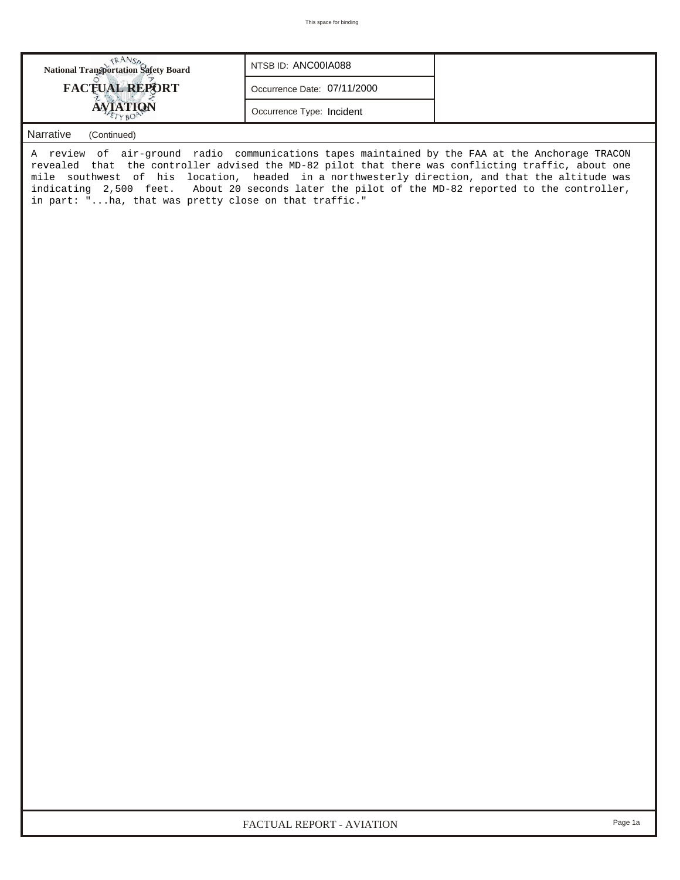| <b>FACTUAL REPORT</b><br>Occurrence Date: 07/11/2000<br><b>AVIATION</b><br>Occurrence Type: Incident | <b>National Transportation Safety Board</b> | NTSB ID: ANC00IA088 |  |
|------------------------------------------------------------------------------------------------------|---------------------------------------------|---------------------|--|
|                                                                                                      |                                             |                     |  |
|                                                                                                      |                                             |                     |  |

## *Narrative (Continued)*

A review of air-ground radio communications tapes maintained by the FAA at the Anchorage TRACON revealed that the controller advised the MD-82 pilot that there was conflicting traffic, about one mile southwest of his location, headed in a northwesterly direction, and that the altitude was indicating 2,500 feet. About 20 seconds later the pilot of the MD-82 reported to the controller, in part: "...ha, that was pretty close on that traffic."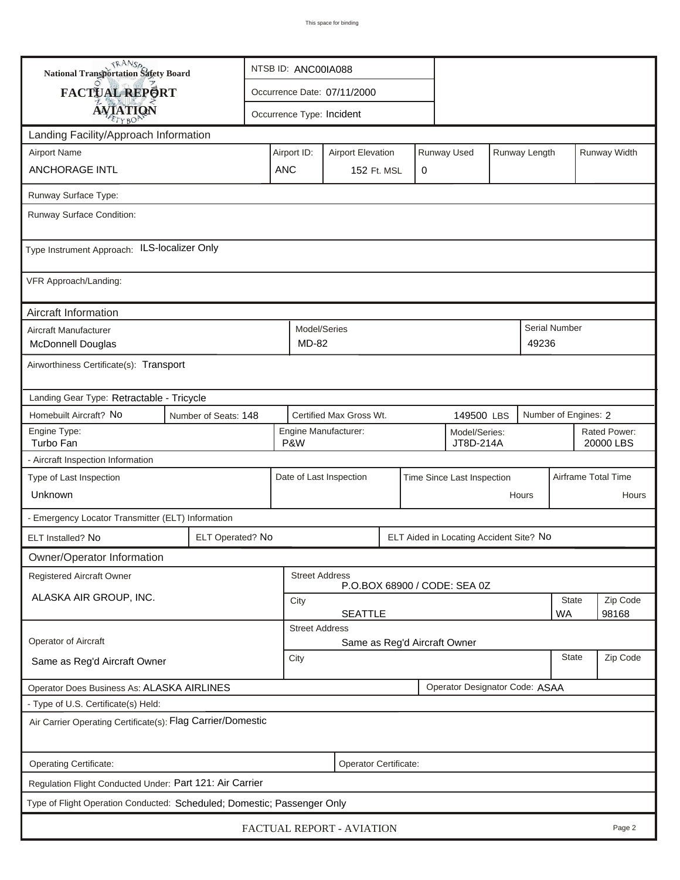| TRANSA<br>National Transportation Safety Board                               |                                                             | NTSB ID: ANC00IA088                                                      |                                                                |  |  |                              |  |                           |                      |                     |  |
|------------------------------------------------------------------------------|-------------------------------------------------------------|--------------------------------------------------------------------------|----------------------------------------------------------------|--|--|------------------------------|--|---------------------------|----------------------|---------------------|--|
| FACTUAL REPORT                                                               |                                                             |                                                                          | Occurrence Date: 07/11/2000                                    |  |  |                              |  |                           |                      |                     |  |
| <b>AVIATION</b><br>Occurrence Type: Incident                                 |                                                             |                                                                          |                                                                |  |  |                              |  |                           |                      |                     |  |
| Landing Facility/Approach Information                                        |                                                             |                                                                          |                                                                |  |  |                              |  |                           |                      |                     |  |
| <b>Airport Name</b>                                                          | Airport ID:                                                 | Runway Used<br>Runway Length<br>Runway Width<br><b>Airport Elevation</b> |                                                                |  |  |                              |  |                           |                      |                     |  |
| <b>ANCHORAGE INTL</b>                                                        |                                                             | <b>ANC</b>                                                               | 152 Ft. MSL<br>0                                               |  |  |                              |  |                           |                      |                     |  |
| Runway Surface Type:                                                         |                                                             |                                                                          |                                                                |  |  |                              |  |                           |                      |                     |  |
| Runway Surface Condition:                                                    |                                                             |                                                                          |                                                                |  |  |                              |  |                           |                      |                     |  |
| Type Instrument Approach: ILS-localizer Only                                 |                                                             |                                                                          |                                                                |  |  |                              |  |                           |                      |                     |  |
| VFR Approach/Landing:                                                        |                                                             |                                                                          |                                                                |  |  |                              |  |                           |                      |                     |  |
| Aircraft Information                                                         |                                                             |                                                                          |                                                                |  |  |                              |  |                           |                      |                     |  |
| Aircraft Manufacturer<br><b>McDonnell Douglas</b>                            |                                                             | MD-82                                                                    | Model/Series                                                   |  |  |                              |  | 49236                     | <b>Serial Number</b> |                     |  |
| Airworthiness Certificate(s): Transport                                      |                                                             |                                                                          |                                                                |  |  |                              |  |                           |                      |                     |  |
| Landing Gear Type: Retractable - Tricycle                                    |                                                             |                                                                          |                                                                |  |  |                              |  |                           |                      |                     |  |
| Homebuilt Aircraft? No<br>Number of Seats: 148                               |                                                             | Certified Max Gross Wt.<br>149500 LBS                                    |                                                                |  |  |                              |  | Number of Engines: 2      |                      |                     |  |
| Engine Type:<br>Turbo Fan                                                    | P&W                                                         | Engine Manufacturer:<br>Model/Series:<br>JT8D-214A                       |                                                                |  |  |                              |  | Rated Power:<br>20000 LBS |                      |                     |  |
| - Aircraft Inspection Information                                            |                                                             |                                                                          |                                                                |  |  |                              |  |                           |                      |                     |  |
| Type of Last Inspection                                                      |                                                             |                                                                          | Date of Last Inspection<br>Time Since Last Inspection<br>Hours |  |  |                              |  |                           |                      | Airframe Total Time |  |
| Unknown                                                                      |                                                             |                                                                          |                                                                |  |  |                              |  |                           |                      | Hours               |  |
| - Emergency Locator Transmitter (ELT) Information                            |                                                             |                                                                          |                                                                |  |  |                              |  |                           |                      |                     |  |
| ELT Installed? No                                                            | ELT Operated? No<br>ELT Aided in Locating Accident Site? No |                                                                          |                                                                |  |  |                              |  |                           |                      |                     |  |
| Owner/Operator Information                                                   |                                                             |                                                                          |                                                                |  |  |                              |  |                           |                      |                     |  |
| Registered Aircraft Owner                                                    |                                                             |                                                                          | <b>Street Address</b>                                          |  |  | P.O.BOX 68900 / CODE: SEA 0Z |  |                           |                      |                     |  |
| ALASKA AIR GROUP, INC.                                                       | <b>State</b><br>City                                        |                                                                          |                                                                |  |  |                              |  |                           | Zip Code             |                     |  |
| <b>SEATTLE</b><br>98168<br>WA<br><b>Street Address</b>                       |                                                             |                                                                          |                                                                |  |  |                              |  |                           |                      |                     |  |
| Operator of Aircraft                                                         | Same as Reg'd Aircraft Owner                                |                                                                          |                                                                |  |  |                              |  |                           |                      |                     |  |
| Same as Reg'd Aircraft Owner                                                 | <b>State</b><br>City                                        |                                                                          |                                                                |  |  |                              |  |                           | Zip Code             |                     |  |
| Operator Designator Code: ASAA<br>Operator Does Business As: ALASKA AIRLINES |                                                             |                                                                          |                                                                |  |  |                              |  |                           |                      |                     |  |
| - Type of U.S. Certificate(s) Held:                                          |                                                             |                                                                          |                                                                |  |  |                              |  |                           |                      |                     |  |
| Air Carrier Operating Certificate(s): Flag Carrier/Domestic                  |                                                             |                                                                          |                                                                |  |  |                              |  |                           |                      |                     |  |
| Operating Certificate:                                                       |                                                             |                                                                          | Operator Certificate:                                          |  |  |                              |  |                           |                      |                     |  |
| Regulation Flight Conducted Under: Part 121: Air Carrier                     |                                                             |                                                                          |                                                                |  |  |                              |  |                           |                      |                     |  |
| Type of Flight Operation Conducted: Scheduled; Domestic; Passenger Only      |                                                             |                                                                          |                                                                |  |  |                              |  |                           |                      |                     |  |
|                                                                              |                                                             |                                                                          | FACTUAL REPORT - AVIATION                                      |  |  |                              |  |                           |                      | Page 2              |  |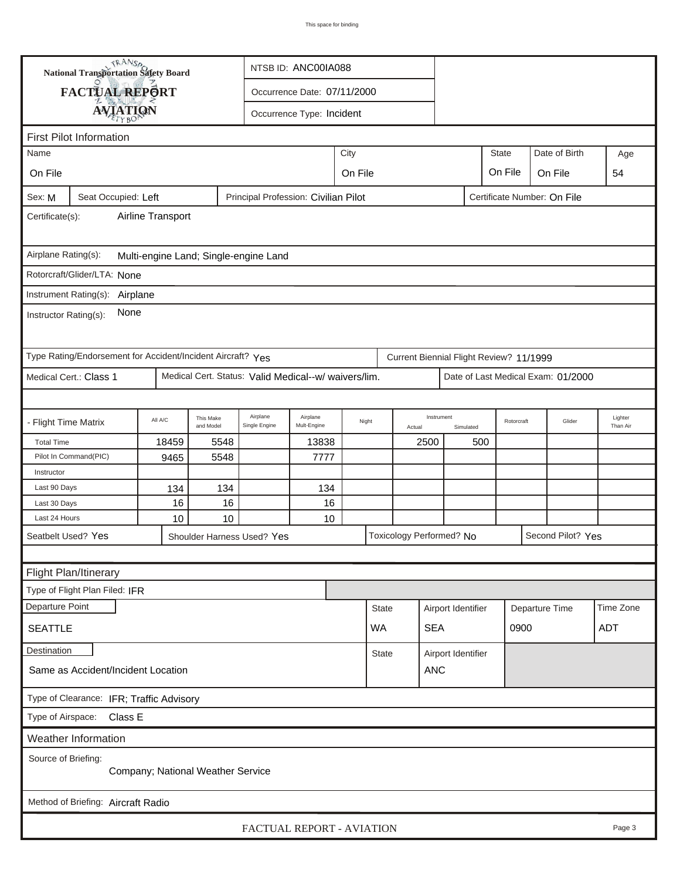|                                                                                                                      | <b>National Transportation Safety Board</b>                                                                              |                                   |                        |                                       | NTSB ID: ANC00IA088         |  |                 |  |            |           |     |            |        |                     |
|----------------------------------------------------------------------------------------------------------------------|--------------------------------------------------------------------------------------------------------------------------|-----------------------------------|------------------------|---------------------------------------|-----------------------------|--|-----------------|--|------------|-----------|-----|------------|--------|---------------------|
|                                                                                                                      | FACTUAL REPORT                                                                                                           |                                   |                        |                                       | Occurrence Date: 07/11/2000 |  |                 |  |            |           |     |            |        |                     |
|                                                                                                                      | <b>AVIATION</b>                                                                                                          |                                   |                        |                                       | Occurrence Type: Incident   |  |                 |  |            |           |     |            |        |                     |
|                                                                                                                      |                                                                                                                          |                                   |                        |                                       |                             |  |                 |  |            |           |     |            |        |                     |
| Name                                                                                                                 | <b>First Pilot Information</b><br><b>State</b><br>Date of Birth<br>City                                                  |                                   |                        |                                       |                             |  |                 |  |            | Age       |     |            |        |                     |
| On File<br>On File<br>On File<br>On File<br>54                                                                       |                                                                                                                          |                                   |                        |                                       |                             |  |                 |  |            |           |     |            |        |                     |
|                                                                                                                      |                                                                                                                          |                                   |                        |                                       |                             |  |                 |  |            |           |     |            |        |                     |
| Principal Profession: Civilian Pilot<br>Certificate Number: On File<br>Seat Occupied: Left<br>Sex: M                 |                                                                                                                          |                                   |                        |                                       |                             |  |                 |  |            |           |     |            |        |                     |
| Airline Transport<br>Certificate(s):                                                                                 |                                                                                                                          |                                   |                        |                                       |                             |  |                 |  |            |           |     |            |        |                     |
| Airplane Rating(s):                                                                                                  |                                                                                                                          |                                   |                        |                                       |                             |  |                 |  |            |           |     |            |        |                     |
|                                                                                                                      |                                                                                                                          |                                   |                        | Multi-engine Land; Single-engine Land |                             |  |                 |  |            |           |     |            |        |                     |
|                                                                                                                      | Rotorcraft/Glider/LTA: None                                                                                              |                                   |                        |                                       |                             |  |                 |  |            |           |     |            |        |                     |
|                                                                                                                      | Instrument Rating(s): Airplane<br>None                                                                                   |                                   |                        |                                       |                             |  |                 |  |            |           |     |            |        |                     |
| Instructor Rating(s):                                                                                                |                                                                                                                          |                                   |                        |                                       |                             |  |                 |  |            |           |     |            |        |                     |
|                                                                                                                      |                                                                                                                          |                                   |                        |                                       |                             |  |                 |  |            |           |     |            |        |                     |
| Type Rating/Endorsement for Accident/Incident Aircraft? Yes<br>Current Biennial Flight Review? 11/1999               |                                                                                                                          |                                   |                        |                                       |                             |  |                 |  |            |           |     |            |        |                     |
| Medical Cert.: Class 1<br>Medical Cert. Status: Valid Medical--w/ waivers/lim.<br>Date of Last Medical Exam: 01/2000 |                                                                                                                          |                                   |                        |                                       |                             |  |                 |  |            |           |     |            |        |                     |
|                                                                                                                      |                                                                                                                          |                                   |                        |                                       |                             |  |                 |  |            |           |     |            |        |                     |
| - Flight Time Matrix                                                                                                 |                                                                                                                          | All A/C                           | This Make<br>and Model | Airplane<br>Single Engine             | Airplane<br>Mult-Engine     |  | Night<br>Actual |  | Instrument | Simulated |     | Rotorcraft | Glider | Lighter<br>Than Air |
| <b>Total Time</b>                                                                                                    |                                                                                                                          | 18459                             | 5548                   |                                       | 13838                       |  |                 |  | 2500       |           | 500 |            |        |                     |
|                                                                                                                      | Pilot In Command(PIC)<br>9465<br>5548<br>7777                                                                            |                                   |                        |                                       |                             |  |                 |  |            |           |     |            |        |                     |
| Instructor                                                                                                           |                                                                                                                          |                                   |                        |                                       |                             |  |                 |  |            |           |     |            |        |                     |
| Last 90 Days                                                                                                         |                                                                                                                          | 134<br>16                         | 134<br>16              |                                       | 134                         |  |                 |  |            |           |     |            |        |                     |
| Last 30 Days                                                                                                         |                                                                                                                          | 10                                | 10                     |                                       | 16                          |  |                 |  |            |           |     |            |        |                     |
|                                                                                                                      | 10<br>Last 24 Hours<br>Toxicology Performed? No<br>Second Pilot? Yes<br>Seatbelt Used? Yes<br>Shoulder Harness Used? Yes |                                   |                        |                                       |                             |  |                 |  |            |           |     |            |        |                     |
|                                                                                                                      |                                                                                                                          |                                   |                        |                                       |                             |  |                 |  |            |           |     |            |        |                     |
|                                                                                                                      | Flight Plan/Itinerary                                                                                                    |                                   |                        |                                       |                             |  |                 |  |            |           |     |            |        |                     |
|                                                                                                                      | Type of Flight Plan Filed: IFR                                                                                           |                                   |                        |                                       |                             |  |                 |  |            |           |     |            |        |                     |
| Departure Point<br>Time Zone<br><b>State</b><br>Airport Identifier<br>Departure Time                                 |                                                                                                                          |                                   |                        |                                       |                             |  |                 |  |            |           |     |            |        |                     |
| <b>SEA</b><br>0900<br>ADT<br><b>SEATTLE</b><br>WA                                                                    |                                                                                                                          |                                   |                        |                                       |                             |  |                 |  |            |           |     |            |        |                     |
| Destination<br>Airport Identifier<br><b>State</b>                                                                    |                                                                                                                          |                                   |                        |                                       |                             |  |                 |  |            |           |     |            |        |                     |
| <b>ANC</b><br>Same as Accident/Incident Location                                                                     |                                                                                                                          |                                   |                        |                                       |                             |  |                 |  |            |           |     |            |        |                     |
|                                                                                                                      | Type of Clearance: IFR; Traffic Advisory                                                                                 |                                   |                        |                                       |                             |  |                 |  |            |           |     |            |        |                     |
|                                                                                                                      | Type of Airspace: Class E                                                                                                |                                   |                        |                                       |                             |  |                 |  |            |           |     |            |        |                     |
|                                                                                                                      | <b>Weather Information</b>                                                                                               |                                   |                        |                                       |                             |  |                 |  |            |           |     |            |        |                     |
| Source of Briefing:                                                                                                  |                                                                                                                          | Company; National Weather Service |                        |                                       |                             |  |                 |  |            |           |     |            |        |                     |
|                                                                                                                      | Method of Briefing: Aircraft Radio                                                                                       |                                   |                        |                                       |                             |  |                 |  |            |           |     |            |        |                     |
|                                                                                                                      |                                                                                                                          |                                   |                        |                                       |                             |  |                 |  |            |           |     |            |        |                     |

*FACTUAL REPORT - AVIATION Page 3*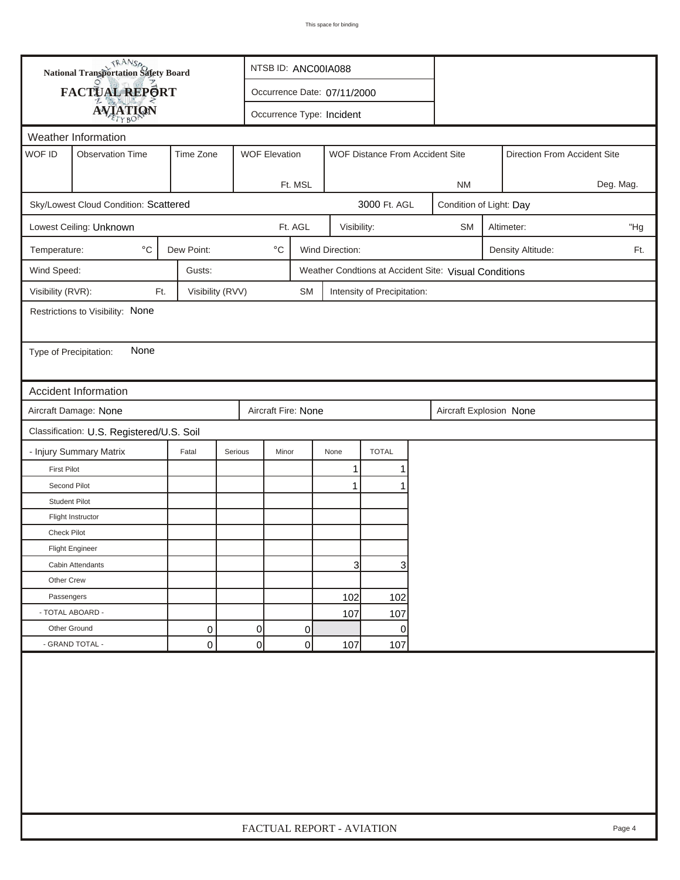| FACTUAL REPORT<br>Occurrence Date: 07/11/2000<br><b>AVIATION</b><br>Occurrence Type: Incident<br>Weather Information<br>WOF ID<br><b>Observation Time</b><br>Time Zone<br><b>WOF Elevation</b><br>WOF Distance From Accident Site<br>Direction From Accident Site<br>Ft. MSL<br>Deg. Mag.<br><b>NM</b><br>3000 Ft. AGL<br>Sky/Lowest Cloud Condition: Scattered<br>Condition of Light: Day<br>Ft. AGL<br>Lowest Ceiling: Unknown<br><b>SM</b><br>Altimeter:<br>"Hg<br>Visibility:<br>$^{\circ}$ C<br>Dew Point:<br>$^{\circ} \text{C}$<br>Wind Direction:<br>Temperature:<br>Density Altitude:<br>Ft.<br>Wind Speed:<br>Gusts:<br>Weather Condtions at Accident Site: Visual Conditions<br>Visibility (RVR):<br>Visibility (RVV)<br>Ft.<br>SM<br>Intensity of Precipitation:<br>Restrictions to Visibility: None<br>None<br>Type of Precipitation:<br>Accident Information<br>Aircraft Damage: None<br>Aircraft Fire: None<br>Aircraft Explosion None<br>Classification: U.S. Registered/U.S. Soil<br>- Injury Summary Matrix<br><b>TOTAL</b><br>Fatal<br>Serious<br>Minor<br>None<br>1<br><b>First Pilot</b><br>1<br>Second Pilot<br>1<br>1<br><b>Student Pilot</b><br>Flight Instructor<br><b>Check Pilot</b><br><b>Flight Engineer</b><br>$\mathbf{3}$<br>3<br>Cabin Attendants<br>Other Crew<br>102<br>Passengers<br>102<br>- TOTAL ABOARD -<br>107<br>107<br>Other Ground<br>$\overline{0}$<br>0<br>0<br>0<br>- GRAND TOTAL -<br>0<br> 0 <br>0<br>107<br>107 |  | <b>National Transportation Safety Board</b> |  |  | NTSB ID: ANC00IA088 |  |                           |  |  |  |  |  |        |
|-------------------------------------------------------------------------------------------------------------------------------------------------------------------------------------------------------------------------------------------------------------------------------------------------------------------------------------------------------------------------------------------------------------------------------------------------------------------------------------------------------------------------------------------------------------------------------------------------------------------------------------------------------------------------------------------------------------------------------------------------------------------------------------------------------------------------------------------------------------------------------------------------------------------------------------------------------------------------------------------------------------------------------------------------------------------------------------------------------------------------------------------------------------------------------------------------------------------------------------------------------------------------------------------------------------------------------------------------------------------------------------------------------------------------------------------------------------------|--|---------------------------------------------|--|--|---------------------|--|---------------------------|--|--|--|--|--|--------|
|                                                                                                                                                                                                                                                                                                                                                                                                                                                                                                                                                                                                                                                                                                                                                                                                                                                                                                                                                                                                                                                                                                                                                                                                                                                                                                                                                                                                                                                                   |  |                                             |  |  |                     |  |                           |  |  |  |  |  |        |
|                                                                                                                                                                                                                                                                                                                                                                                                                                                                                                                                                                                                                                                                                                                                                                                                                                                                                                                                                                                                                                                                                                                                                                                                                                                                                                                                                                                                                                                                   |  |                                             |  |  |                     |  |                           |  |  |  |  |  |        |
|                                                                                                                                                                                                                                                                                                                                                                                                                                                                                                                                                                                                                                                                                                                                                                                                                                                                                                                                                                                                                                                                                                                                                                                                                                                                                                                                                                                                                                                                   |  |                                             |  |  |                     |  |                           |  |  |  |  |  |        |
|                                                                                                                                                                                                                                                                                                                                                                                                                                                                                                                                                                                                                                                                                                                                                                                                                                                                                                                                                                                                                                                                                                                                                                                                                                                                                                                                                                                                                                                                   |  |                                             |  |  |                     |  |                           |  |  |  |  |  |        |
|                                                                                                                                                                                                                                                                                                                                                                                                                                                                                                                                                                                                                                                                                                                                                                                                                                                                                                                                                                                                                                                                                                                                                                                                                                                                                                                                                                                                                                                                   |  |                                             |  |  |                     |  |                           |  |  |  |  |  |        |
|                                                                                                                                                                                                                                                                                                                                                                                                                                                                                                                                                                                                                                                                                                                                                                                                                                                                                                                                                                                                                                                                                                                                                                                                                                                                                                                                                                                                                                                                   |  |                                             |  |  |                     |  |                           |  |  |  |  |  |        |
|                                                                                                                                                                                                                                                                                                                                                                                                                                                                                                                                                                                                                                                                                                                                                                                                                                                                                                                                                                                                                                                                                                                                                                                                                                                                                                                                                                                                                                                                   |  |                                             |  |  |                     |  |                           |  |  |  |  |  |        |
|                                                                                                                                                                                                                                                                                                                                                                                                                                                                                                                                                                                                                                                                                                                                                                                                                                                                                                                                                                                                                                                                                                                                                                                                                                                                                                                                                                                                                                                                   |  |                                             |  |  |                     |  |                           |  |  |  |  |  |        |
|                                                                                                                                                                                                                                                                                                                                                                                                                                                                                                                                                                                                                                                                                                                                                                                                                                                                                                                                                                                                                                                                                                                                                                                                                                                                                                                                                                                                                                                                   |  |                                             |  |  |                     |  |                           |  |  |  |  |  |        |
|                                                                                                                                                                                                                                                                                                                                                                                                                                                                                                                                                                                                                                                                                                                                                                                                                                                                                                                                                                                                                                                                                                                                                                                                                                                                                                                                                                                                                                                                   |  |                                             |  |  |                     |  |                           |  |  |  |  |  |        |
|                                                                                                                                                                                                                                                                                                                                                                                                                                                                                                                                                                                                                                                                                                                                                                                                                                                                                                                                                                                                                                                                                                                                                                                                                                                                                                                                                                                                                                                                   |  |                                             |  |  |                     |  |                           |  |  |  |  |  |        |
|                                                                                                                                                                                                                                                                                                                                                                                                                                                                                                                                                                                                                                                                                                                                                                                                                                                                                                                                                                                                                                                                                                                                                                                                                                                                                                                                                                                                                                                                   |  |                                             |  |  |                     |  |                           |  |  |  |  |  |        |
|                                                                                                                                                                                                                                                                                                                                                                                                                                                                                                                                                                                                                                                                                                                                                                                                                                                                                                                                                                                                                                                                                                                                                                                                                                                                                                                                                                                                                                                                   |  |                                             |  |  |                     |  |                           |  |  |  |  |  |        |
|                                                                                                                                                                                                                                                                                                                                                                                                                                                                                                                                                                                                                                                                                                                                                                                                                                                                                                                                                                                                                                                                                                                                                                                                                                                                                                                                                                                                                                                                   |  |                                             |  |  |                     |  |                           |  |  |  |  |  |        |
|                                                                                                                                                                                                                                                                                                                                                                                                                                                                                                                                                                                                                                                                                                                                                                                                                                                                                                                                                                                                                                                                                                                                                                                                                                                                                                                                                                                                                                                                   |  |                                             |  |  |                     |  |                           |  |  |  |  |  |        |
|                                                                                                                                                                                                                                                                                                                                                                                                                                                                                                                                                                                                                                                                                                                                                                                                                                                                                                                                                                                                                                                                                                                                                                                                                                                                                                                                                                                                                                                                   |  |                                             |  |  |                     |  |                           |  |  |  |  |  |        |
|                                                                                                                                                                                                                                                                                                                                                                                                                                                                                                                                                                                                                                                                                                                                                                                                                                                                                                                                                                                                                                                                                                                                                                                                                                                                                                                                                                                                                                                                   |  |                                             |  |  |                     |  |                           |  |  |  |  |  |        |
|                                                                                                                                                                                                                                                                                                                                                                                                                                                                                                                                                                                                                                                                                                                                                                                                                                                                                                                                                                                                                                                                                                                                                                                                                                                                                                                                                                                                                                                                   |  |                                             |  |  |                     |  |                           |  |  |  |  |  |        |
|                                                                                                                                                                                                                                                                                                                                                                                                                                                                                                                                                                                                                                                                                                                                                                                                                                                                                                                                                                                                                                                                                                                                                                                                                                                                                                                                                                                                                                                                   |  |                                             |  |  |                     |  |                           |  |  |  |  |  |        |
|                                                                                                                                                                                                                                                                                                                                                                                                                                                                                                                                                                                                                                                                                                                                                                                                                                                                                                                                                                                                                                                                                                                                                                                                                                                                                                                                                                                                                                                                   |  |                                             |  |  |                     |  |                           |  |  |  |  |  |        |
|                                                                                                                                                                                                                                                                                                                                                                                                                                                                                                                                                                                                                                                                                                                                                                                                                                                                                                                                                                                                                                                                                                                                                                                                                                                                                                                                                                                                                                                                   |  |                                             |  |  |                     |  |                           |  |  |  |  |  |        |
|                                                                                                                                                                                                                                                                                                                                                                                                                                                                                                                                                                                                                                                                                                                                                                                                                                                                                                                                                                                                                                                                                                                                                                                                                                                                                                                                                                                                                                                                   |  |                                             |  |  |                     |  |                           |  |  |  |  |  |        |
|                                                                                                                                                                                                                                                                                                                                                                                                                                                                                                                                                                                                                                                                                                                                                                                                                                                                                                                                                                                                                                                                                                                                                                                                                                                                                                                                                                                                                                                                   |  |                                             |  |  |                     |  |                           |  |  |  |  |  |        |
|                                                                                                                                                                                                                                                                                                                                                                                                                                                                                                                                                                                                                                                                                                                                                                                                                                                                                                                                                                                                                                                                                                                                                                                                                                                                                                                                                                                                                                                                   |  |                                             |  |  |                     |  |                           |  |  |  |  |  |        |
|                                                                                                                                                                                                                                                                                                                                                                                                                                                                                                                                                                                                                                                                                                                                                                                                                                                                                                                                                                                                                                                                                                                                                                                                                                                                                                                                                                                                                                                                   |  |                                             |  |  |                     |  |                           |  |  |  |  |  |        |
|                                                                                                                                                                                                                                                                                                                                                                                                                                                                                                                                                                                                                                                                                                                                                                                                                                                                                                                                                                                                                                                                                                                                                                                                                                                                                                                                                                                                                                                                   |  |                                             |  |  |                     |  |                           |  |  |  |  |  |        |
|                                                                                                                                                                                                                                                                                                                                                                                                                                                                                                                                                                                                                                                                                                                                                                                                                                                                                                                                                                                                                                                                                                                                                                                                                                                                                                                                                                                                                                                                   |  |                                             |  |  |                     |  |                           |  |  |  |  |  |        |
|                                                                                                                                                                                                                                                                                                                                                                                                                                                                                                                                                                                                                                                                                                                                                                                                                                                                                                                                                                                                                                                                                                                                                                                                                                                                                                                                                                                                                                                                   |  |                                             |  |  |                     |  |                           |  |  |  |  |  |        |
|                                                                                                                                                                                                                                                                                                                                                                                                                                                                                                                                                                                                                                                                                                                                                                                                                                                                                                                                                                                                                                                                                                                                                                                                                                                                                                                                                                                                                                                                   |  |                                             |  |  |                     |  |                           |  |  |  |  |  |        |
|                                                                                                                                                                                                                                                                                                                                                                                                                                                                                                                                                                                                                                                                                                                                                                                                                                                                                                                                                                                                                                                                                                                                                                                                                                                                                                                                                                                                                                                                   |  |                                             |  |  |                     |  |                           |  |  |  |  |  |        |
|                                                                                                                                                                                                                                                                                                                                                                                                                                                                                                                                                                                                                                                                                                                                                                                                                                                                                                                                                                                                                                                                                                                                                                                                                                                                                                                                                                                                                                                                   |  |                                             |  |  |                     |  |                           |  |  |  |  |  |        |
|                                                                                                                                                                                                                                                                                                                                                                                                                                                                                                                                                                                                                                                                                                                                                                                                                                                                                                                                                                                                                                                                                                                                                                                                                                                                                                                                                                                                                                                                   |  |                                             |  |  |                     |  | FACTUAL REPORT - AVIATION |  |  |  |  |  | Page 4 |